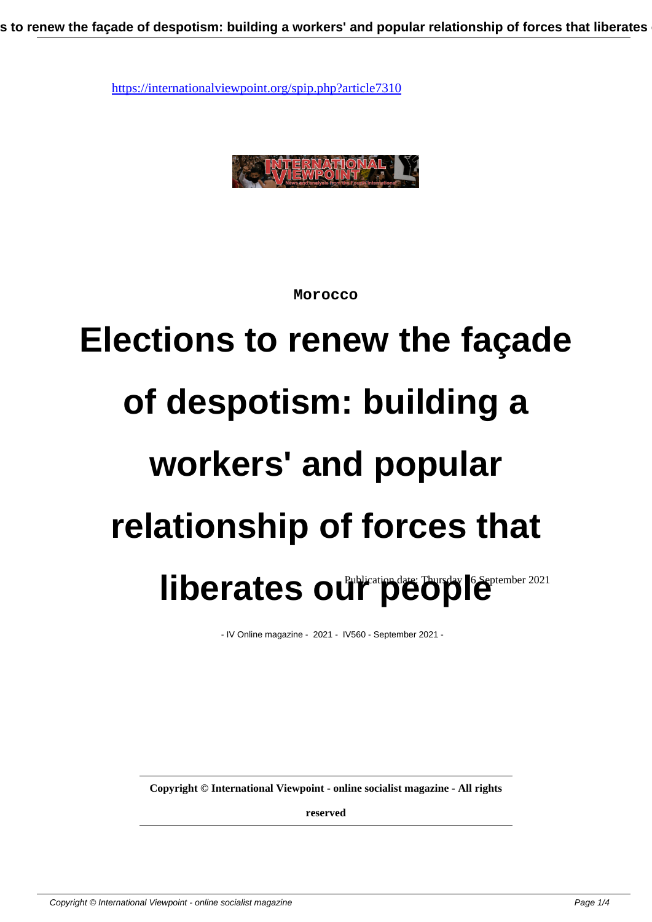

**Morocco**

## **Elections to renew the façade of despotism: building a workers' and popular relationship of forces that** liberates our persiste Thursday 16 September 2021

- IV Online magazine - 2021 - IV560 - September 2021 -

**Copyright © International Viewpoint - online socialist magazine - All rights**

**reserved**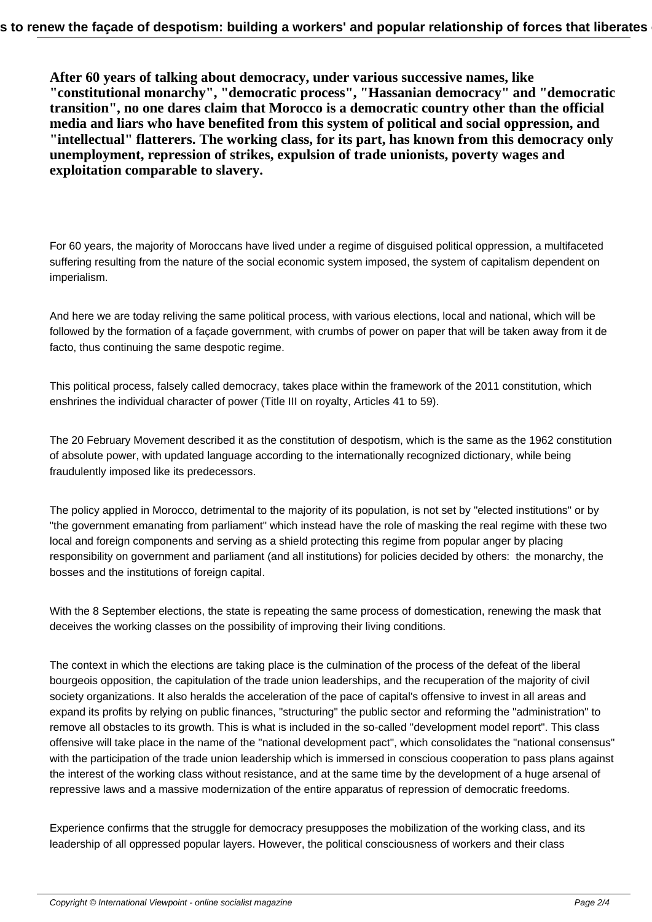**After 60 years of talking about democracy, under various successive names, like "constitutional monarchy", "democratic process", "Hassanian democracy" and "democratic transition", no one dares claim that Morocco is a democratic country other than the official media and liars who have benefited from this system of political and social oppression, and "intellectual" flatterers. The working class, for its part, has known from this democracy only unemployment, repression of strikes, expulsion of trade unionists, poverty wages and exploitation comparable to slavery.**

For 60 years, the majority of Moroccans have lived under a regime of disguised political oppression, a multifaceted suffering resulting from the nature of the social economic system imposed, the system of capitalism dependent on imperialism.

And here we are today reliving the same political process, with various elections, local and national, which will be followed by the formation of a façade government, with crumbs of power on paper that will be taken away from it de facto, thus continuing the same despotic regime.

This political process, falsely called democracy, takes place within the framework of the 2011 constitution, which enshrines the individual character of power (Title III on royalty, Articles 41 to 59).

The 20 February Movement described it as the constitution of despotism, which is the same as the 1962 constitution of absolute power, with updated language according to the internationally recognized dictionary, while being fraudulently imposed like its predecessors.

The policy applied in Morocco, detrimental to the majority of its population, is not set by "elected institutions" or by "the government emanating from parliament" which instead have the role of masking the real regime with these two local and foreign components and serving as a shield protecting this regime from popular anger by placing responsibility on government and parliament (and all institutions) for policies decided by others: the monarchy, the bosses and the institutions of foreign capital.

With the 8 September elections, the state is repeating the same process of domestication, renewing the mask that deceives the working classes on the possibility of improving their living conditions.

The context in which the elections are taking place is the culmination of the process of the defeat of the liberal bourgeois opposition, the capitulation of the trade union leaderships, and the recuperation of the majority of civil society organizations. It also heralds the acceleration of the pace of capital's offensive to invest in all areas and expand its profits by relying on public finances, "structuring" the public sector and reforming the "administration" to remove all obstacles to its growth. This is what is included in the so-called "development model report". This class offensive will take place in the name of the "national development pact", which consolidates the "national consensus" with the participation of the trade union leadership which is immersed in conscious cooperation to pass plans against the interest of the working class without resistance, and at the same time by the development of a huge arsenal of repressive laws and a massive modernization of the entire apparatus of repression of democratic freedoms.

Experience confirms that the struggle for democracy presupposes the mobilization of the working class, and its leadership of all oppressed popular layers. However, the political consciousness of workers and their class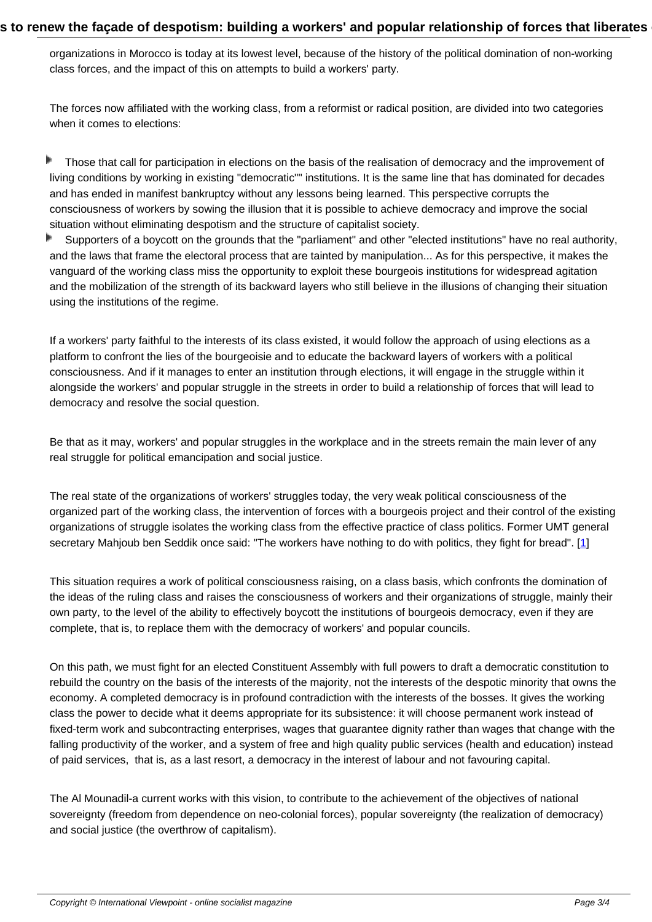organizations in Morocco is today at its lowest level, because of the history of the political domination of non-working class forces, and the impact of this on attempts to build a workers' party.

The forces now affiliated with the working class, from a reformist or radical position, are divided into two categories when it comes to elections:

- Þ Those that call for participation in elections on the basis of the realisation of democracy and the improvement of living conditions by working in existing "democratic"" institutions. It is the same line that has dominated for decades and has ended in manifest bankruptcy without any lessons being learned. This perspective corrupts the consciousness of workers by sowing the illusion that it is possible to achieve democracy and improve the social situation without eliminating despotism and the structure of capitalist society.
- Þ Supporters of a boycott on the grounds that the "parliament" and other "elected institutions" have no real authority, and the laws that frame the electoral process that are tainted by manipulation... As for this perspective, it makes the vanguard of the working class miss the opportunity to exploit these bourgeois institutions for widespread agitation and the mobilization of the strength of its backward layers who still believe in the illusions of changing their situation using the institutions of the regime.

If a workers' party faithful to the interests of its class existed, it would follow the approach of using elections as a platform to confront the lies of the bourgeoisie and to educate the backward layers of workers with a political consciousness. And if it manages to enter an institution through elections, it will engage in the struggle within it alongside the workers' and popular struggle in the streets in order to build a relationship of forces that will lead to democracy and resolve the social question.

Be that as it may, workers' and popular struggles in the workplace and in the streets remain the main lever of any real struggle for political emancipation and social justice.

The real state of the organizations of workers' struggles today, the very weak political consciousness of the organized part of the working class, the intervention of forces with a bourgeois project and their control of the existing organizations of struggle isolates the working class from the effective practice of class politics. Former UMT general secretary Mahjoub ben Seddik once said: "The workers have nothing to do with politics, they fight for bread". [1]

This situation requires a work of political consciousness raising, on a class basis, which confronts the domination of the ideas of the ruling class and raises the consciousness of workers and their organizations of struggle, mai[nly](#nb1) their own party, to the level of the ability to effectively boycott the institutions of bourgeois democracy, even if they are complete, that is, to replace them with the democracy of workers' and popular councils.

On this path, we must fight for an elected Constituent Assembly with full powers to draft a democratic constitution to rebuild the country on the basis of the interests of the majority, not the interests of the despotic minority that owns the economy. A completed democracy is in profound contradiction with the interests of the bosses. It gives the working class the power to decide what it deems appropriate for its subsistence: it will choose permanent work instead of fixed-term work and subcontracting enterprises, wages that guarantee dignity rather than wages that change with the falling productivity of the worker, and a system of free and high quality public services (health and education) instead of paid services, that is, as a last resort, a democracy in the interest of labour and not favouring capital.

The Al Mounadil-a current works with this vision, to contribute to the achievement of the objectives of national sovereignty (freedom from dependence on neo-colonial forces), popular sovereignty (the realization of democracy) and social justice (the overthrow of capitalism).